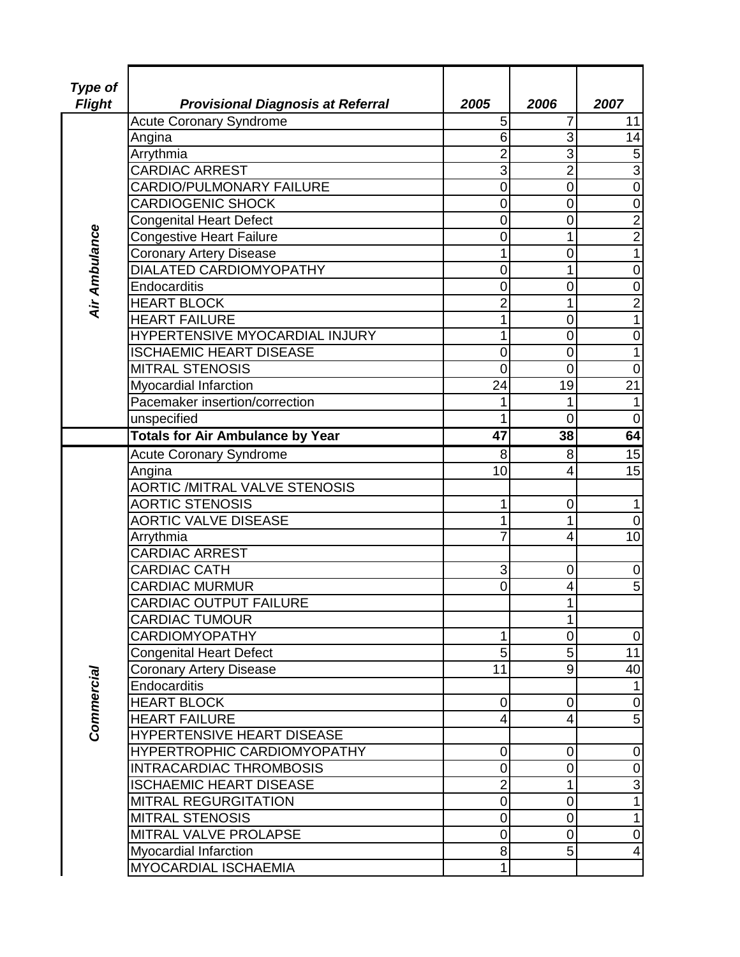| Type of       |                                          |                  |                |                         |
|---------------|------------------------------------------|------------------|----------------|-------------------------|
| <b>Flight</b> | <b>Provisional Diagnosis at Referral</b> | 2005             | 2006           | 2007                    |
|               | <b>Acute Coronary Syndrome</b>           | 5                | 7              | 11                      |
|               | Angina                                   | 6                | 3              | 14                      |
|               | Arrythmia                                | $\overline{c}$   | 3              | $\mathbf 5$             |
|               | <b>CARDIAC ARREST</b>                    | 3                | $\overline{2}$ | $\overline{3}$          |
|               | CARDIO/PULMONARY FAILURE                 | $\mathbf 0$      | 0              | $\overline{0}$          |
|               | <b>CARDIOGENIC SHOCK</b>                 | $\mathbf 0$      | 0              | $\overline{0}$          |
|               | <b>Congenital Heart Defect</b>           | $\mathbf 0$      | 0              |                         |
|               | <b>Congestive Heart Failure</b>          | $\mathbf 0$      | 1              | $\frac{2}{2}$           |
|               | <b>Coronary Artery Disease</b>           | 1                | $\overline{0}$ | $\overline{1}$          |
| Air Ambulance | DIALATED CARDIOMYOPATHY                  | 0                | 1              | $\mathbf 0$             |
|               | Endocarditis                             | $\mathbf 0$      | 0              | $\mathbf 0$             |
|               | <b>HEART BLOCK</b>                       | $\overline{c}$   | 1              | $\overline{2}$          |
|               | <b>HEART FAILURE</b>                     | 1                | $\overline{0}$ | $\overline{1}$          |
|               | HYPERTENSIVE MYOCARDIAL INJURY           | 1                | 0              | $\pmb{0}$               |
|               | <b>ISCHAEMIC HEART DISEASE</b>           | $\mathbf 0$      | 0              | $\overline{1}$          |
|               | <b>MITRAL STENOSIS</b>                   | $\overline{0}$   | $\overline{0}$ | $\mathbf 0$             |
|               | Myocardial Infarction                    | 24               | 19             | $\overline{21}$         |
|               | Pacemaker insertion/correction           | 1                | 1              | $\mathbf{1}$            |
|               | unspecified                              | 1                | $\overline{0}$ | $\mathbf 0$             |
|               | <b>Totals for Air Ambulance by Year</b>  | $\overline{47}$  | 38             | 64                      |
|               | <b>Acute Coronary Syndrome</b>           | 8                | 8              | 15                      |
|               | Angina                                   | 10               | 4              | $\overline{15}$         |
|               | <b>AORTIC /MITRAL VALVE STENOSIS</b>     |                  |                |                         |
|               | <b>AORTIC STENOSIS</b>                   | 1                | 0              | $\mathbf 1$             |
|               | <b>AORTIC VALVE DISEASE</b>              | 1                | 1              | $\mathbf 0$             |
|               | Arrythmia                                | $\overline{7}$   | 4              | 10                      |
|               | <b>CARDIAC ARREST</b>                    |                  |                |                         |
|               | <b>CARDIAC CATH</b>                      | 3                | 0              | $\pmb{0}$               |
|               | <b>CARDIAC MURMUR</b>                    | $\overline{0}$   | 4              | $\overline{5}$          |
|               | <b>CARDIAC OUTPUT FAILURE</b>            |                  | 1              |                         |
|               | <b>CARDIAC TUMOUR</b>                    |                  | $1\vert$       |                         |
|               | <b>CARDIOMYOPATHY</b>                    | 1                | $\overline{0}$ | $\overline{0}$          |
|               | <b>Congenital Heart Defect</b>           | 5                | 5 <sup>1</sup> | 11                      |
|               | <b>Coronary Artery Disease</b>           | 11               | $\overline{9}$ | 40                      |
|               | Endocarditis                             |                  |                | $\mathbf{1}$            |
|               | <b>HEART BLOCK</b>                       | 0                | 0              | $\pmb{0}$               |
| Commercial    | <b>HEART FAILURE</b>                     | $\overline{4}$   | 4              | $\overline{5}$          |
|               | HYPERTENSIVE HEART DISEASE               |                  |                |                         |
|               | HYPERTROPHIC CARDIOMYOPATHY              | 0                | 0              | $\pmb{0}$               |
|               | <b>INTRACARDIAC THROMBOSIS</b>           | $\boldsymbol{0}$ | 0              | $\overline{0}$          |
|               | <b>ISCHAEMIC HEART DISEASE</b>           | $\overline{2}$   | 1              | $\overline{3}$          |
|               | <b>MITRAL REGURGITATION</b>              | $\pmb{0}$        | 0              | $\overline{1}$          |
|               | <b>MITRAL STENOSIS</b>                   | $\boldsymbol{0}$ | 0              | $\mathbf{1}$            |
|               | MITRAL VALVE PROLAPSE                    | 0                | $\overline{0}$ | $\pmb{0}$               |
|               | Myocardial Infarction                    | $\bf{8}$         | 5 <sup>1</sup> | $\overline{\mathbf{4}}$ |
|               | MYOCARDIAL ISCHAEMIA                     | 1                |                |                         |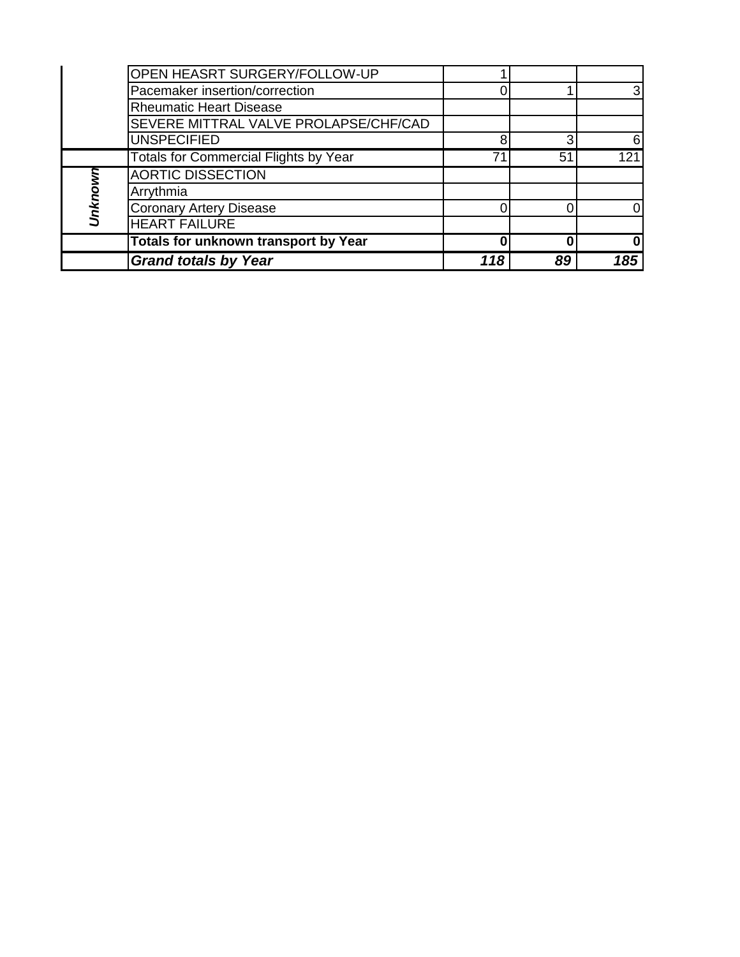|         | <b>OPEN HEASRT SURGERY/FOLLOW-UP</b>         |     |    |                  |
|---------|----------------------------------------------|-----|----|------------------|
|         | Pacemaker insertion/correction               |     |    | 3                |
|         | <b>Rheumatic Heart Disease</b>               |     |    |                  |
|         | SEVERE MITTRAL VALVE PROLAPSE/CHF/CAD        |     |    |                  |
|         | <b>UNSPECIFIED</b>                           | 8   | 3  | 6                |
|         | <b>Totals for Commercial Flights by Year</b> | 71  | 51 | $\overline{121}$ |
|         | <b>AORTIC DISSECTION</b>                     |     |    |                  |
| Unknown | Arrythmia                                    |     |    |                  |
|         | <b>Coronary Artery Disease</b>               |     |    | 0                |
|         | <b>HEART FAILURE</b>                         |     |    |                  |
|         | <b>Totals for unknown transport by Year</b>  |     |    | 0                |
|         | <b>Grand totals by Year</b>                  | 118 | 89 | 185              |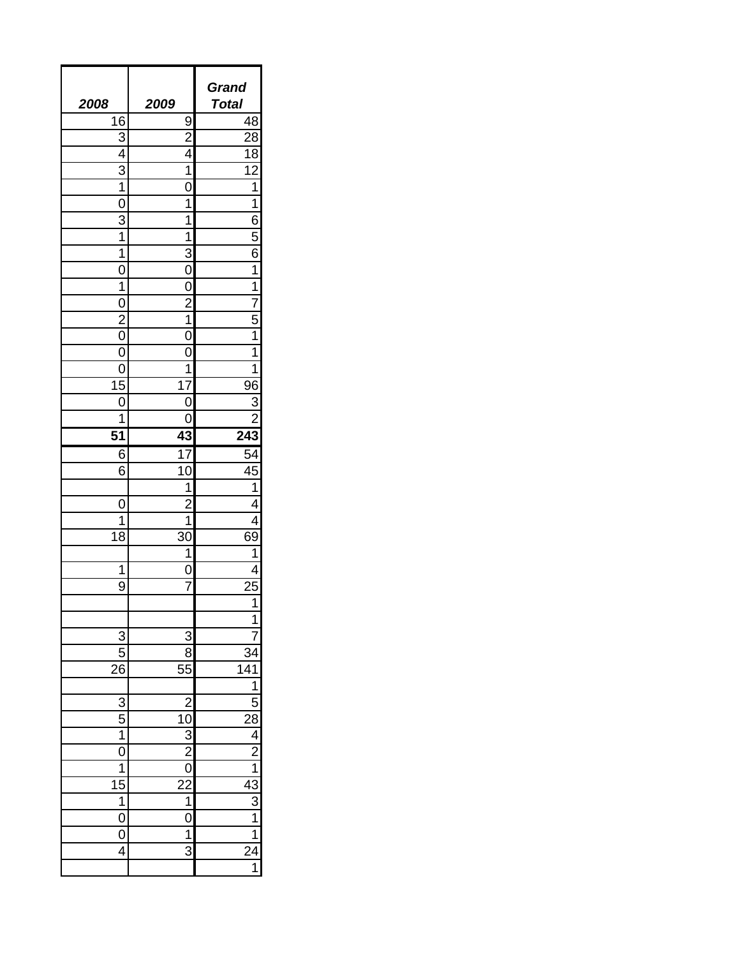| <b>2008</b>                                                                                            | 2009                                                                                | Grand<br><b>Total</b>                                                                                                                                                                                                                                                                                        |
|--------------------------------------------------------------------------------------------------------|-------------------------------------------------------------------------------------|--------------------------------------------------------------------------------------------------------------------------------------------------------------------------------------------------------------------------------------------------------------------------------------------------------------|
| $\overline{16}$                                                                                        |                                                                                     | 48                                                                                                                                                                                                                                                                                                           |
| <u>3</u>                                                                                               | $\frac{9}{2}$                                                                       | $\overline{28}$                                                                                                                                                                                                                                                                                              |
| $\overline{4}$                                                                                         | $\overline{4}$                                                                      | $\overline{18}$                                                                                                                                                                                                                                                                                              |
| 3                                                                                                      | 1                                                                                   | 12                                                                                                                                                                                                                                                                                                           |
| $\overline{1}$                                                                                         |                                                                                     | 1                                                                                                                                                                                                                                                                                                            |
| 0                                                                                                      | 1                                                                                   | 1                                                                                                                                                                                                                                                                                                            |
| 3                                                                                                      | 1                                                                                   | $\overline{6}$                                                                                                                                                                                                                                                                                               |
| 1                                                                                                      | 1                                                                                   |                                                                                                                                                                                                                                                                                                              |
| 1                                                                                                      | 3                                                                                   | $\frac{5}{6}$                                                                                                                                                                                                                                                                                                |
| 0                                                                                                      |                                                                                     | $\overline{1}$                                                                                                                                                                                                                                                                                               |
| 1                                                                                                      |                                                                                     | $\overline{1}$                                                                                                                                                                                                                                                                                               |
| 0                                                                                                      |                                                                                     | $\dot{7}$                                                                                                                                                                                                                                                                                                    |
|                                                                                                        | 1                                                                                   | $\overline{5}$                                                                                                                                                                                                                                                                                               |
| $\overline{c}$<br>0                                                                                    |                                                                                     | 1                                                                                                                                                                                                                                                                                                            |
| 0                                                                                                      |                                                                                     | 1                                                                                                                                                                                                                                                                                                            |
|                                                                                                        | 1                                                                                   | 1                                                                                                                                                                                                                                                                                                            |
| 0                                                                                                      | $\overline{17}$                                                                     |                                                                                                                                                                                                                                                                                                              |
| $\overline{15}$                                                                                        |                                                                                     | 96                                                                                                                                                                                                                                                                                                           |
| 0<br>1                                                                                                 |                                                                                     | 3                                                                                                                                                                                                                                                                                                            |
|                                                                                                        |                                                                                     |                                                                                                                                                                                                                                                                                                              |
| 51                                                                                                     | 43                                                                                  | 243                                                                                                                                                                                                                                                                                                          |
| 6                                                                                                      | $\overline{17}$                                                                     | 54                                                                                                                                                                                                                                                                                                           |
| $\overline{6}$                                                                                         | 10                                                                                  | $\overline{45}$                                                                                                                                                                                                                                                                                              |
|                                                                                                        | 1                                                                                   | 1                                                                                                                                                                                                                                                                                                            |
| 0                                                                                                      |                                                                                     | 4                                                                                                                                                                                                                                                                                                            |
| 1<br>$\overline{18}$                                                                                   | 1                                                                                   | 69                                                                                                                                                                                                                                                                                                           |
|                                                                                                        | 30<br>1                                                                             | 1                                                                                                                                                                                                                                                                                                            |
| 1                                                                                                      |                                                                                     | 4                                                                                                                                                                                                                                                                                                            |
|                                                                                                        |                                                                                     | 25                                                                                                                                                                                                                                                                                                           |
| 9                                                                                                      | 7                                                                                   | $\overline{1}$                                                                                                                                                                                                                                                                                               |
|                                                                                                        |                                                                                     |                                                                                                                                                                                                                                                                                                              |
|                                                                                                        |                                                                                     | 1                                                                                                                                                                                                                                                                                                            |
| $\overline{3}$                                                                                         | $\begin{array}{r} 3 \\ \hline 8 \\ \hline 55 \end{array}$                           |                                                                                                                                                                                                                                                                                                              |
| $\frac{5}{26}$                                                                                         |                                                                                     |                                                                                                                                                                                                                                                                                                              |
|                                                                                                        |                                                                                     |                                                                                                                                                                                                                                                                                                              |
|                                                                                                        |                                                                                     |                                                                                                                                                                                                                                                                                                              |
|                                                                                                        |                                                                                     |                                                                                                                                                                                                                                                                                                              |
|                                                                                                        |                                                                                     |                                                                                                                                                                                                                                                                                                              |
|                                                                                                        |                                                                                     |                                                                                                                                                                                                                                                                                                              |
|                                                                                                        |                                                                                     |                                                                                                                                                                                                                                                                                                              |
| $\frac{3}{5}$ $\frac{1}{1}$ $\frac{0}{1}$ $\frac{1}{5}$ $\frac{1}{1}$ $\frac{0}{0}$ $\frac{0}{4}$<br>1 | $\begin{array}{r} 2 \\ 10 \\ 3 \\ 2 \\ 0 \\ 2 \\ 1 \\ 0 \\ 1 \\ \hline \end{array}$ |                                                                                                                                                                                                                                                                                                              |
|                                                                                                        |                                                                                     |                                                                                                                                                                                                                                                                                                              |
|                                                                                                        |                                                                                     |                                                                                                                                                                                                                                                                                                              |
|                                                                                                        |                                                                                     |                                                                                                                                                                                                                                                                                                              |
|                                                                                                        | $\overline{3}$                                                                      |                                                                                                                                                                                                                                                                                                              |
|                                                                                                        |                                                                                     | $\frac{34}{12}$ $\frac{1}{28}$ $\frac{1}{28}$ $\frac{1}{28}$ $\frac{1}{28}$ $\frac{1}{28}$ $\frac{1}{28}$ $\frac{1}{28}$ $\frac{1}{28}$ $\frac{1}{28}$ $\frac{1}{28}$ $\frac{1}{28}$ $\frac{1}{28}$ $\frac{1}{28}$ $\frac{1}{28}$ $\frac{1}{28}$ $\frac{1}{28}$ $\frac{1}{28}$ $\frac{1}{28}$ $\frac{1}{28}$ |
|                                                                                                        |                                                                                     |                                                                                                                                                                                                                                                                                                              |